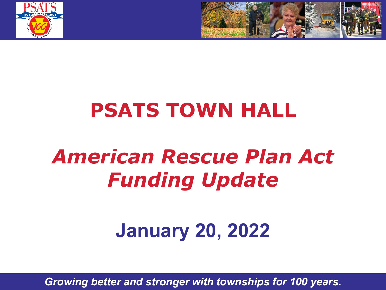



# **PSATS TOWN HALL**

# *American Rescue Plan Act Funding Update*

# **January 20, 2022**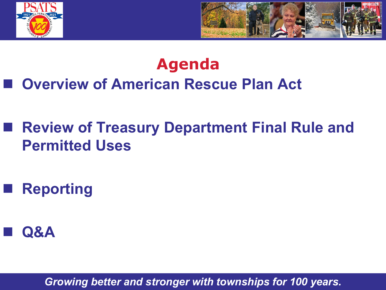



### **Agenda Overview of American Rescue Plan Act**

### **Review of Treasury Department Final Rule and Permitted Uses**

**Reporting**

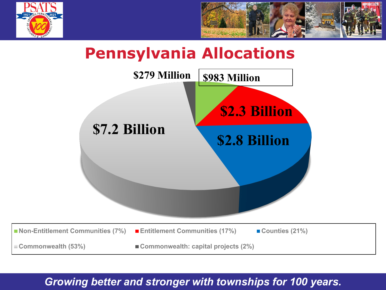



#### **Pennsylvania Allocations**

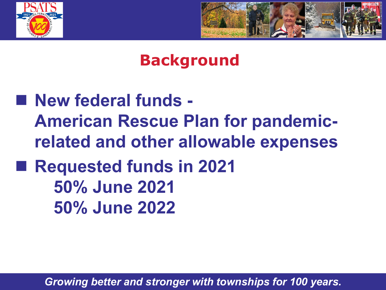



#### **Background**

 **New federal funds - American Rescue Plan for pandemicrelated and other allowable expenses Requested funds in 2021 50% June 2021 50% June 2022**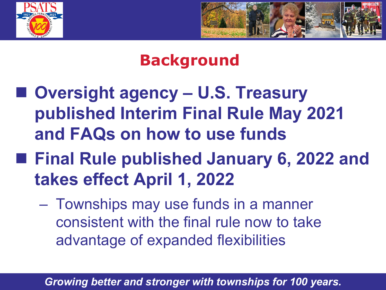



### **Background**

- Oversight agency **U.S. Treasury published Interim Final Rule May 2021 and FAQs on how to use funds**
- **Final Rule published January 6, 2022 and takes effect April 1, 2022**
	- Townships may use funds in a manner consistent with the final rule now to take advantage of expanded flexibilities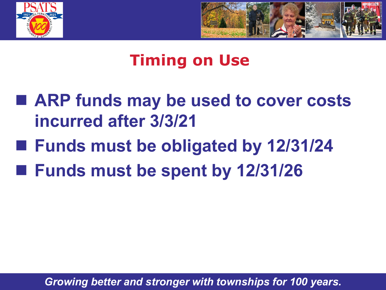



#### **Timing on Use**

- ARP funds may be used to cover costs **incurred after 3/3/21**
- Funds must be obligated by 12/31/24
- Funds must be spent by 12/31/26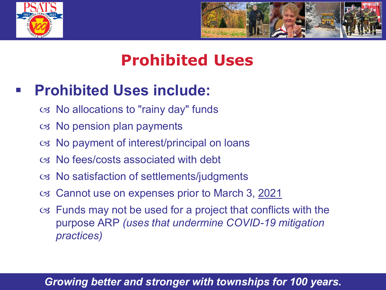



### **Prohibited Uses**

#### **Prohibited Uses include:**

- $\infty$  No allocations to "rainy day" funds
- $\infty$  No pension plan payments
- $\infty$  No payment of interest/principal on loans
- No fees/costs associated with debt
- No satisfaction of settlements/judgments
- Cannot use on expenses prior to March 3, 2021
- Funds may not be used for a project that conflicts with the purpose ARP *(uses that undermine COVID-19 mitigation practices)*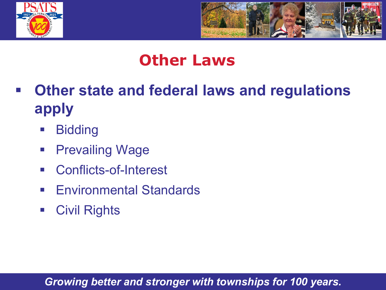



#### **Other Laws**

- **Other state and federal laws and regulations apply**
	- **Bidding**
	- **Prevailing Wage**
	- Conflicts-of-Interest
	- **Environmental Standards**
	- **Civil Rights**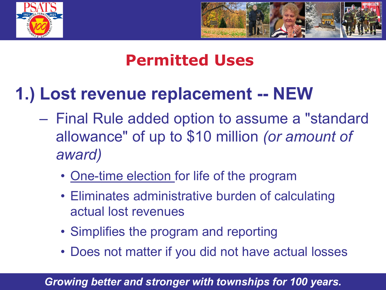



# **1.) Lost revenue replacement -- NEW**

- Final Rule added option to assume a "standard allowance" of up to \$10 million *(or amount of award)*
	- One-time election for life of the program
	- Eliminates administrative burden of calculating actual lost revenues
	- Simplifies the program and reporting
	- Does not matter if you did not have actual losses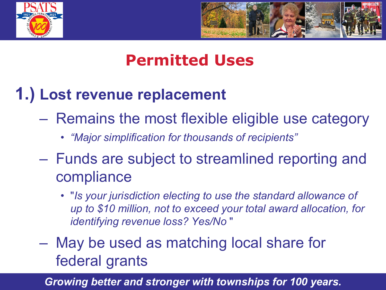



### **1.) Lost revenue replacement**

- Remains the most flexible eligible use category
	- *"Major simplification for thousands of recipients"*
- Funds are subject to streamlined reporting and compliance
	- "*Is your jurisdiction electing to use the standard allowance of up to \$10 million, not to exceed your total award allocation, for identifying revenue loss? Yes/No* "
- May be used as matching local share for federal grants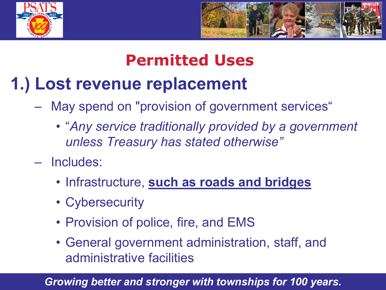



# **1.) Lost revenue replacement**

- May spend on "provision of government services"
	- "*Any service traditionally provided by a government unless Treasury has stated otherwise"*
- Includes:
	- Infrastructure, **such as roads and bridges**
	- Cybersecurity
	- Provision of police, fire, and EMS
	- General government administration, staff, and administrative facilities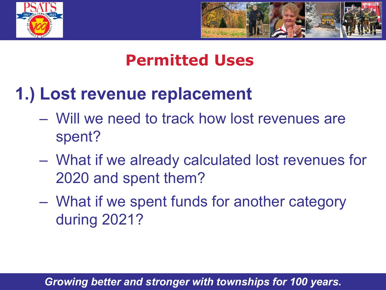



# **1.) Lost revenue replacement**

- Will we need to track how lost revenues are spent?
- What if we already calculated lost revenues for 2020 and spent them?
- What if we spent funds for another category during 2021?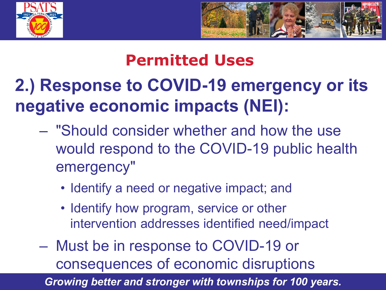



# **2.) Response to COVID-19 emergency or its negative economic impacts (NEI):**

- "Should consider whether and how the use would respond to the COVID-19 public health emergency"
	- Identify a need or negative impact; and
	- Identify how program, service or other intervention addresses identified need/impact
- Must be in response to COVID-19 or consequences of economic disruptions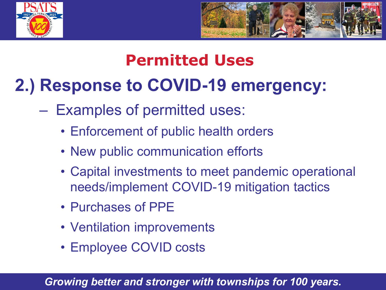



# **2.) Response to COVID-19 emergency:**

- Examples of permitted uses:
	- Enforcement of public health orders
	- New public communication efforts
	- Capital investments to meet pandemic operational needs/implement COVID-19 mitigation tactics
	- Purchases of PPE
	- Ventilation improvements
	- Employee COVID costs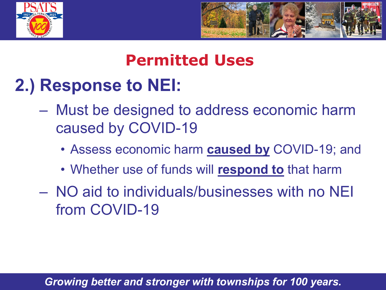



# **2.) Response to NEI:**

- Must be designed to address economic harm caused by COVID-19
	- Assess economic harm **caused by** COVID-19; and
	- Whether use of funds will **respond to** that harm
- NO aid to individuals/businesses with no NEI from COVID-19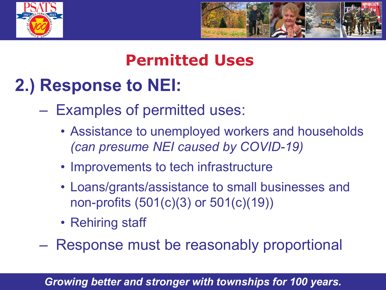



# **2.) Response to NEI:**

- Examples of permitted uses:
	- Assistance to unemployed workers and households *(can presume NEI caused by COVID-19)*
	- Improvements to tech infrastructure
	- Loans/grants/assistance to small businesses and non-profits (501(c)(3) or 501(c)(19))
	- Rehiring staff

– Response must be reasonably proportional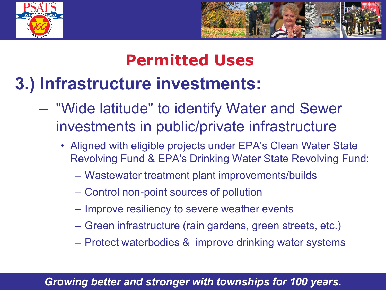



# **3.) Infrastructure investments:**

- "Wide latitude" to identify Water and Sewer investments in public/private infrastructure
	- Aligned with eligible projects under EPA's Clean Water State Revolving Fund & EPA's Drinking Water State Revolving Fund:
		- Wastewater treatment plant improvements/builds
		- Control non-point sources of pollution
		- Improve resiliency to severe weather events
		- Green infrastructure (rain gardens, green streets, etc.)
		- Protect waterbodies & improve drinking water systems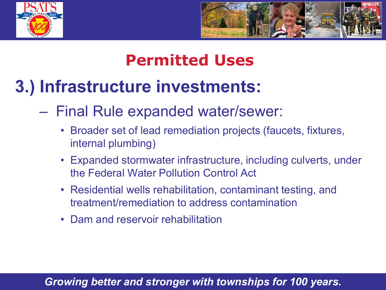



# **3.) Infrastructure investments:**

#### – Final Rule expanded water/sewer:

- Broader set of lead remediation projects (faucets, fixtures, internal plumbing)
- Expanded stormwater infrastructure, including culverts, under the Federal Water Pollution Control Act
- Residential wells rehabilitation, contaminant testing, and treatment/remediation to address contamination
- Dam and reservoir rehabilitation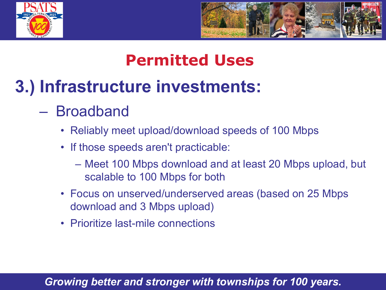



# **3.) Infrastructure investments:**

- Broadband
	- Reliably meet upload/download speeds of 100 Mbps
	- If those speeds aren't practicable:
		- Meet 100 Mbps download and at least 20 Mbps upload, but scalable to 100 Mbps for both
	- Focus on unserved/underserved areas (based on 25 Mbps download and 3 Mbps upload)
	- Prioritize last-mile connections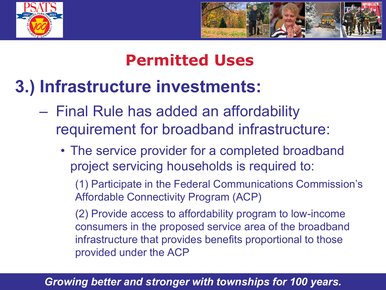



# **3.) Infrastructure investments:**

- Final Rule has added an affordability requirement for broadband infrastructure:
	- The service provider for a completed broadband project servicing households is required to:

(1) Participate in the Federal Communications Commission's Affordable Connectivity Program (ACP)

(2) Provide access to affordability program to low-income consumers in the proposed service area of the broadband infrastructure that provides benefits proportional to those provided under the ACP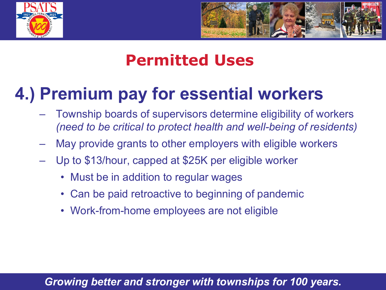



# **4.) Premium pay for essential workers**

- Township boards of supervisors determine eligibility of workers *(need to be critical to protect health and well-being of residents)*
- May provide grants to other employers with eligible workers
- Up to \$13/hour, capped at \$25K per eligible worker
	- Must be in addition to regular wages
	- Can be paid retroactive to beginning of pandemic
	- Work-from-home employees are not eligible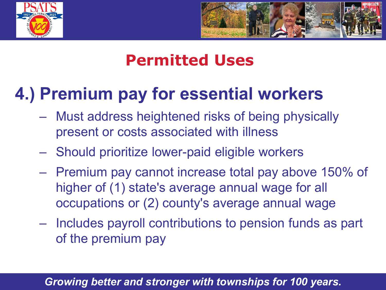



# **4.) Premium pay for essential workers**

- Must address heightened risks of being physically present or costs associated with illness
- Should prioritize lower-paid eligible workers
- Premium pay cannot increase total pay above 150% of higher of (1) state's average annual wage for all occupations or (2) county's average annual wage
- Includes payroll contributions to pension funds as part of the premium pay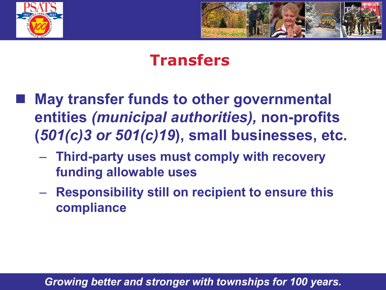



#### **Transfers**

- **May transfer funds to other governmental entities** *(municipal authorities),* **non-profits (***501(c)3 or 501(c)19***), small businesses, etc.**
	- **Third-party uses must comply with recovery funding allowable uses**
	- **Responsibility still on recipient to ensure this compliance**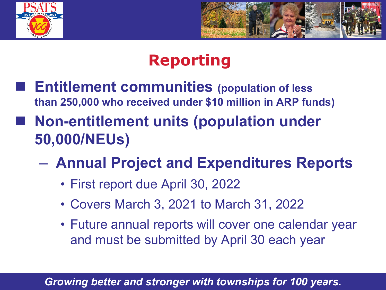



### **Reporting**

- **Entitlement communities (population of less than 250,000 who received under \$10 million in ARP funds)**
- **Non-entitlement units (population under 50,000/NEUs)**
	- **Annual Project and Expenditures Reports**
		- First report due April 30, 2022
		- Covers March 3, 2021 to March 31, 2022
		- Future annual reports will cover one calendar year and must be submitted by April 30 each year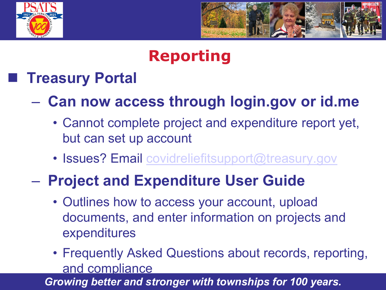



### **Reporting**

#### **Treasury Portal**

#### – **Can now access through login.gov or id.me**

- Cannot complete project and expenditure report yet, but can set up account
- Issues? Email [covidreliefitsupport@treasury.gov](mailto:covidreliefitsupport@treasury.gov)

#### – **Project and Expenditure User Guide**

- Outlines how to access your account, upload documents, and enter information on projects and expenditures
- Frequently Asked Questions about records, reporting, and compliance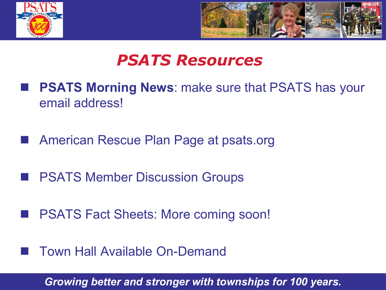



#### *PSATS Resources*

- **PSATS Morning News**: make sure that PSATS has your email address!
- American Rescue Plan Page at psats.org
- **PSATS Member Discussion Groups**
- PSATS Fact Sheets: More coming soon!
- Town Hall Available On-Demand